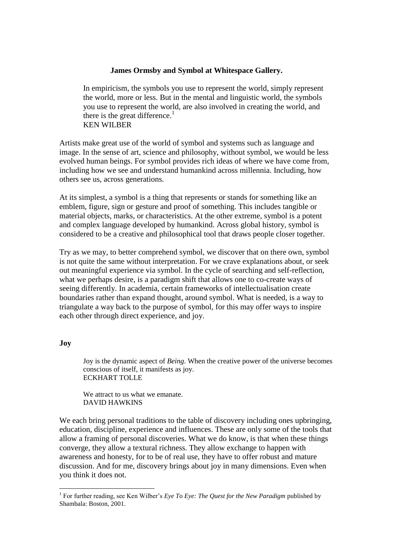## **James Ormsby and Symbol at Whitespace Gallery.**

In empiricism, the symbols you use to represent the world, simply represent the world, more or less. But in the mental and linguistic world, the symbols you use to represent the world, are also involved in creating the world, and there is the great difference.<sup>1</sup> KEN WILBER

Artists make great use of the world of symbol and systems such as language and image. In the sense of art, science and philosophy, without symbol, we would be less evolved human beings. For symbol provides rich ideas of where we have come from, including how we see and understand humankind across millennia. Including, how others see us, across generations.

At its simplest, a symbol is a thing that represents or stands for something like an emblem, figure, sign or gesture and proof of something. This includes tangible or material objects, marks, or characteristics. At the other extreme, symbol is a potent and complex language developed by humankind. Across global history, symbol is considered to be a creative and philosophical tool that draws people closer together.

Try as we may, to better comprehend symbol, we discover that on there own, symbol is not quite the same without interpretation. For we crave explanations about, or seek out meaningful experience via symbol. In the cycle of searching and self-reflection, what we perhaps desire, is a paradigm shift that allows one to co-create ways of seeing differently. In academia, certain frameworks of intellectualisation create boundaries rather than expand thought, around symbol. What is needed, is a way to triangulate a way back to the purpose of symbol, for this may offer ways to inspire each other through direct experience, and joy.

## **Joy**

<u>.</u>

Joy is the dynamic aspect of *Being*. When the creative power of the universe becomes conscious of itself, it manifests as joy. ECKHART TOLLE

We attract to us what we emanate. DAVID HAWKINS

We each bring personal traditions to the table of discovery including ones upbringing, education, discipline, experience and influences. These are only some of the tools that allow a framing of personal discoveries. What we do know, is that when these things converge, they allow a textural richness. They allow exchange to happen with awareness and honesty, for to be of real use, they have to offer robust and mature discussion. And for me, discovery brings about joy in many dimensions. Even when you think it does not.

<sup>&</sup>lt;sup>1</sup> For further reading, see Ken Wilber's *Eye To Eye: The Quest for the New Paradigm* published by Shambala: Boston, 2001.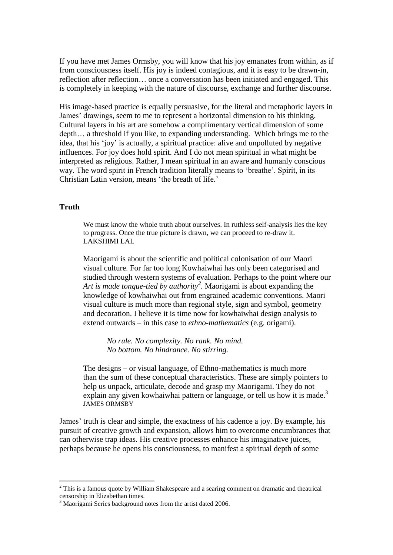If you have met James Ormsby, you will know that his joy emanates from within, as if from consciousness itself. His joy is indeed contagious, and it is easy to be drawn-in, reflection after reflection… once a conversation has been initiated and engaged. This is completely in keeping with the nature of discourse, exchange and further discourse.

His image-based practice is equally persuasive, for the literal and metaphoric layers in James' drawings, seem to me to represent a horizontal dimension to his thinking. Cultural layers in his art are somehow a complimentary vertical dimension of some depth… a threshold if you like, to expanding understanding. Which brings me to the idea, that his 'joy' is actually, a spiritual practice: alive and unpolluted by negative influences. For joy does hold spirit. And I do not mean spiritual in what might be interpreted as religious. Rather, I mean spiritual in an aware and humanly conscious way. The word spirit in French tradition literally means to 'breathe'. Spirit, in its Christian Latin version, means 'the breath of life.'

## **Truth**

1

We must know the whole truth about ourselves. In ruthless self-analysis lies the key to progress. Once the true picture is drawn, we can proceed to re-draw it. LAKSHIMI LAL

Maorigami is about the scientific and political colonisation of our Maori visual culture. For far too long Kowhaiwhai has only been categorised and studied through western systems of evaluation. Perhaps to the point where our *Art is made tongue-tied by authority<sup>2</sup> .* Maorigami is about expanding the knowledge of kowhaiwhai out from engrained academic conventions. Maori visual culture is much more than regional style, sign and symbol, geometry and decoration. I believe it is time now for kowhaiwhai design analysis to extend outwards – in this case to *ethno-mathematics* (e.g. origami).

*No rule. No complexity. No rank. No mind. No bottom. No hindrance. No stirring.*

The designs – or visual language, of Ethno-mathematics is much more than the sum of these conceptual characteristics. These are simply pointers to help us unpack, articulate, decode and grasp my Maorigami. They do not explain any given kowhaiwhai pattern or language, or tell us how it is made.<sup>3</sup> JAMES ORMSBY

James' truth is clear and simple, the exactness of his cadence a joy. By example, his pursuit of creative growth and expansion, allows him to overcome encumbrances that can otherwise trap ideas. His creative processes enhance his imaginative juices, perhaps because he opens his consciousness, to manifest a spiritual depth of some

 $2$  This is a famous quote by William Shakespeare and a searing comment on dramatic and theatrical censorship in Elizabethan times.

<sup>&</sup>lt;sup>3</sup> Maorigami Series background notes from the artist dated 2006.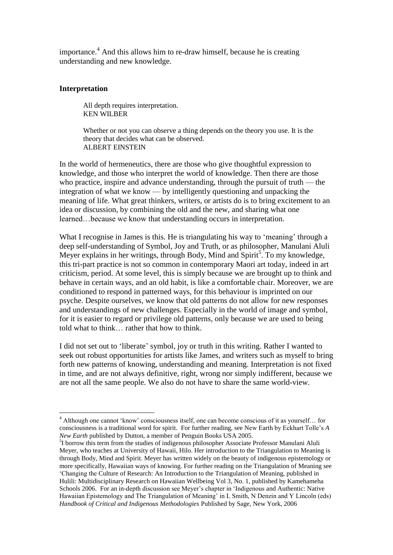importance. <sup>4</sup> And this allows him to re-draw himself, because he is creating understanding and new knowledge.

## **Interpretation**

1

All depth requires interpretation. KEN WILBER

Whether or not you can observe a thing depends on the theory you use. It is the theory that decides what can be observed. ALBERT EINSTEIN

In the world of hermeneutics, there are those who give thoughtful expression to knowledge, and those who interpret the world of knowledge. Then there are those who practice, inspire and advance understanding, through the pursuit of truth — the integration of what we know — by intelligently questioning and unpacking the meaning of life. What great thinkers, writers, or artists do is to bring excitement to an idea or discussion, by combining the old and the new, and sharing what one learned…because we know that understanding occurs in interpretation.

What I recognise in James is this. He is triangulating his way to 'meaning' through a deep self-understanding of Symbol, Joy and Truth, or as philosopher, Manulani Aluli Meyer explains in her writings, through Body, Mind and Spirit<sup>5</sup>. To my knowledge, this tri-part practice is not so common in contemporary Maori art today, indeed in art criticism, period. At some level, this is simply because we are brought up to think and behave in certain ways, and an old habit, is like a comfortable chair. Moreover, we are conditioned to respond in patterned ways, for this behaviour is imprinted on our psyche. Despite ourselves, we know that old patterns do not allow for new responses and understandings of new challenges. Especially in the world of image and symbol, for it is easier to regard or privilege old patterns, only because we are used to being told what to think… rather that how to think.

I did not set out to 'liberate' symbol, joy or truth in this writing. Rather I wanted to seek out robust opportunities for artists like James, and writers such as myself to bring forth new patterns of knowing, understanding and meaning. Interpretation is not fixed in time, and are not always definitive, right, wrong nor simply indifferent, because we are not all the same people. We also do not have to share the same world-view.

<sup>4</sup> Although one cannot 'know' consciousness itself, one can become conscious of it as yourself… for consciousness is a traditional word for spirit. For further reading, see New Earth by Eckhart Tolle's *A New Earth* published by Dutton, a member of Penguin Books USA 2005.

<sup>&</sup>lt;sup>5</sup>I borrow this term from the studies of indigenous philosopher Associate Professor Manulani Aluli Meyer, who teaches at University of Hawaii, Hilo. Her introduction to the Triangulation to Meaning is through Body, Mind and Spirit. Meyer has written widely on the beauty of indigenous epistemology or more specifically, Hawaiian ways of knowing. For further reading on the Triangulation of Meaning see 'Changing the Culture of Research: An Introduction to the Triangulation of Meaning, published in Hulili: Multidisciplinary Research on Hawaiian Wellbeing Vol 3, No. 1, published by Kamehameha Schools 2006. For an in-depth discussion see Meyer's chapter in 'Indigenous and Authentic: Native Hawaiian Epistemology and The Triangulation of Meaning' in L Smith, N Denzin and Y Lincoln (eds) *Handbook of Critical and Indigenous Methodologies* Published by Sage, New York, 2006